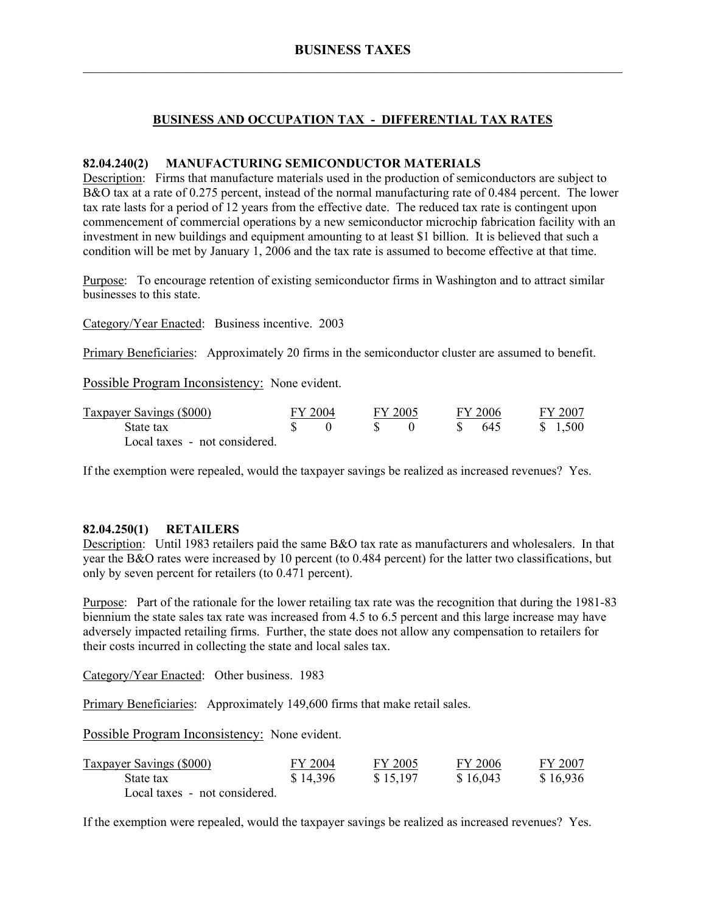# **BUSINESS AND OCCUPATION TAX - DIFFERENTIAL TAX RATES**

#### **82.04.240(2) MANUFACTURING SEMICONDUCTOR MATERIALS**

Description: Firms that manufacture materials used in the production of semiconductors are subject to B&O tax at a rate of 0.275 percent, instead of the normal manufacturing rate of 0.484 percent. The lower tax rate lasts for a period of 12 years from the effective date. The reduced tax rate is contingent upon commencement of commercial operations by a new semiconductor microchip fabrication facility with an investment in new buildings and equipment amounting to at least \$1 billion. It is believed that such a condition will be met by January 1, 2006 and the tax rate is assumed to become effective at that time.

Purpose: To encourage retention of existing semiconductor firms in Washington and to attract similar businesses to this state.

Category/Year Enacted: Business incentive. 2003

Primary Beneficiaries: Approximately 20 firms in the semiconductor cluster are assumed to benefit.

Possible Program Inconsistency: None evident.

| Taxpayer Savings (\$000)      | FY 2004 | FY 2005 |      | FY 2006 | FY 2007 |
|-------------------------------|---------|---------|------|---------|---------|
| State tax                     |         |         | - 85 | -645    | \$1,500 |
| Local taxes - not considered. |         |         |      |         |         |

If the exemption were repealed, would the taxpayer savings be realized as increased revenues? Yes.

#### **82.04.250(1) RETAILERS**

Description: Until 1983 retailers paid the same B&O tax rate as manufacturers and wholesalers. In that year the B&O rates were increased by 10 percent (to 0.484 percent) for the latter two classifications, but only by seven percent for retailers (to 0.471 percent).

Purpose: Part of the rationale for the lower retailing tax rate was the recognition that during the 1981-83 biennium the state sales tax rate was increased from 4.5 to 6.5 percent and this large increase may have adversely impacted retailing firms. Further, the state does not allow any compensation to retailers for their costs incurred in collecting the state and local sales tax.

Category/Year Enacted: Other business. 1983

Primary Beneficiaries: Approximately 149,600 firms that make retail sales.

Possible Program Inconsistency: None evident.

| Taxpayer Savings (\$000)      | FY 2004  | FY 2005  | FY 2006  | FY 2007  |
|-------------------------------|----------|----------|----------|----------|
| State tax                     | \$14,396 | \$15,197 | \$16,043 | \$16.936 |
| Local taxes - not considered. |          |          |          |          |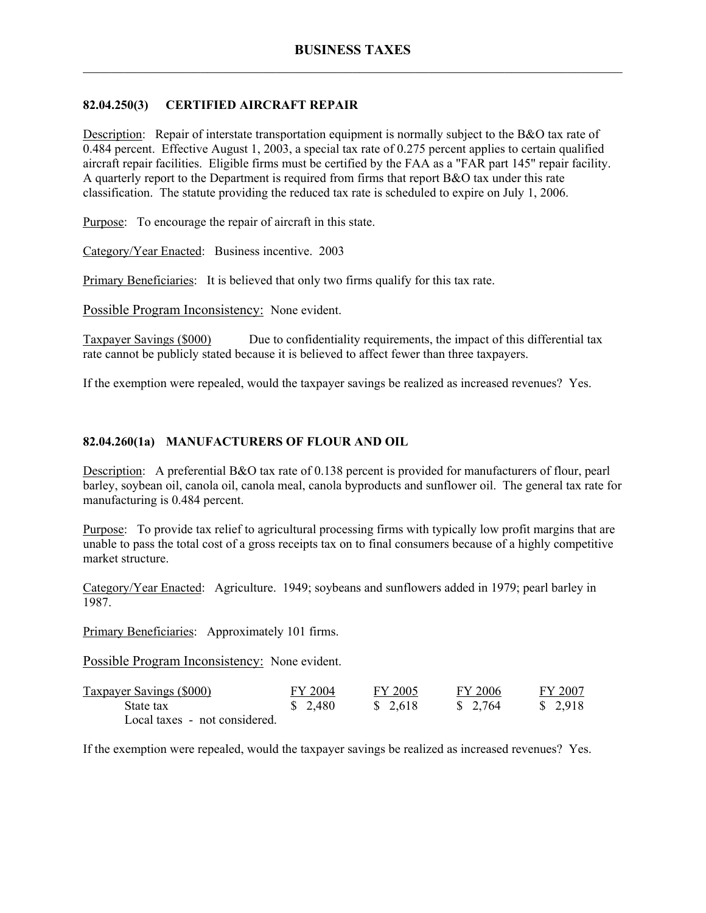## **82.04.250(3) CERTIFIED AIRCRAFT REPAIR**

Description: Repair of interstate transportation equipment is normally subject to the B&O tax rate of 0.484 percent. Effective August 1, 2003, a special tax rate of 0.275 percent applies to certain qualified aircraft repair facilities. Eligible firms must be certified by the FAA as a "FAR part 145" repair facility. A quarterly report to the Department is required from firms that report B&O tax under this rate classification. The statute providing the reduced tax rate is scheduled to expire on July 1, 2006.

Purpose: To encourage the repair of aircraft in this state.

Category/Year Enacted: Business incentive. 2003

Primary Beneficiaries: It is believed that only two firms qualify for this tax rate.

Possible Program Inconsistency: None evident.

Taxpayer Savings (\$000) Due to confidentiality requirements, the impact of this differential tax rate cannot be publicly stated because it is believed to affect fewer than three taxpayers.

If the exemption were repealed, would the taxpayer savings be realized as increased revenues? Yes.

## **82.04.260(1a) MANUFACTURERS OF FLOUR AND OIL**

Description: A preferential B&O tax rate of 0.138 percent is provided for manufacturers of flour, pearl barley, soybean oil, canola oil, canola meal, canola byproducts and sunflower oil. The general tax rate for manufacturing is 0.484 percent.

Purpose: To provide tax relief to agricultural processing firms with typically low profit margins that are unable to pass the total cost of a gross receipts tax on to final consumers because of a highly competitive market structure.

Category/Year Enacted: Agriculture. 1949; soybeans and sunflowers added in 1979; pearl barley in 1987.

Primary Beneficiaries: Approximately 101 firms.

Possible Program Inconsistency: None evident.

| <b>Taxpayer Savings (\$000)</b> | FY 2004 | FY 2005 | FY 2006 | FY 2007  |
|---------------------------------|---------|---------|---------|----------|
| State tax                       | \$2,480 | \$2,618 | \$2,764 | \$ 2,918 |
| Local taxes - not considered.   |         |         |         |          |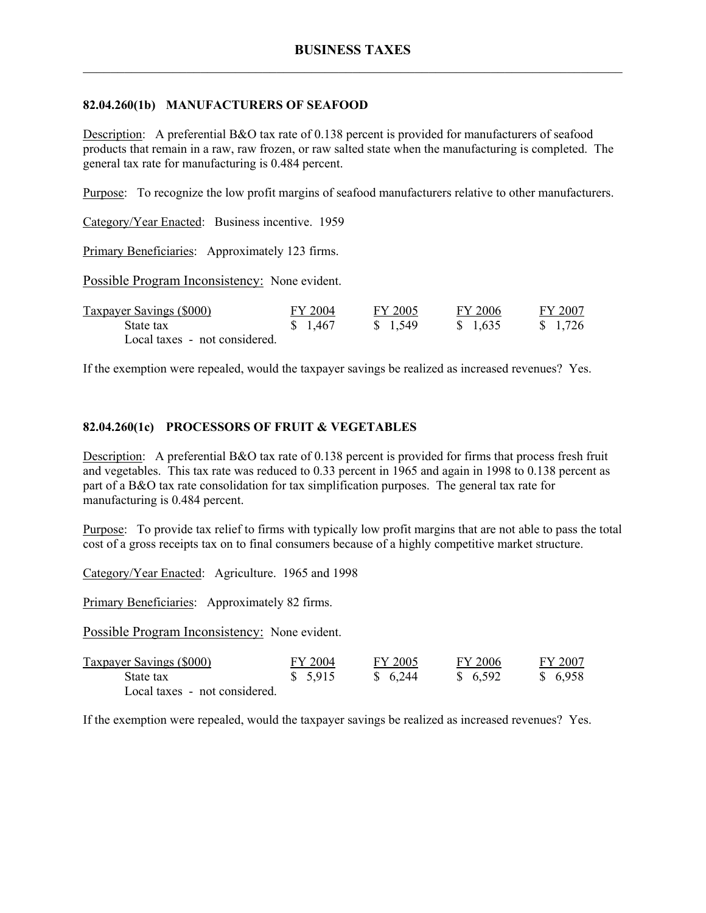## **82.04.260(1b) MANUFACTURERS OF SEAFOOD**

Description: A preferential B&O tax rate of 0.138 percent is provided for manufacturers of seafood products that remain in a raw, raw frozen, or raw salted state when the manufacturing is completed. The general tax rate for manufacturing is 0.484 percent.

Purpose: To recognize the low profit margins of seafood manufacturers relative to other manufacturers.

Category/Year Enacted: Business incentive. 1959

Primary Beneficiaries: Approximately 123 firms.

Possible Program Inconsistency: None evident.

| <b>Taxpayer Savings (\$000)</b> | FY 2004  | FY 2005 | FY 2006  | FY 2007           |
|---------------------------------|----------|---------|----------|-------------------|
| State tax                       | \$ 1,467 | \$1,549 | \$ 1.635 | $\frac{1.726}{ }$ |
| Local taxes - not considered.   |          |         |          |                   |

If the exemption were repealed, would the taxpayer savings be realized as increased revenues? Yes.

#### **82.04.260(1c) PROCESSORS OF FRUIT & VEGETABLES**

Description: A preferential B&O tax rate of 0.138 percent is provided for firms that process fresh fruit and vegetables. This tax rate was reduced to 0.33 percent in 1965 and again in 1998 to 0.138 percent as part of a B&O tax rate consolidation for tax simplification purposes. The general tax rate for manufacturing is 0.484 percent.

Purpose: To provide tax relief to firms with typically low profit margins that are not able to pass the total cost of a gross receipts tax on to final consumers because of a highly competitive market structure.

Category/Year Enacted: Agriculture. 1965 and 1998

Primary Beneficiaries: Approximately 82 firms.

Possible Program Inconsistency: None evident.

| <b>Taxpayer Savings (\$000)</b> | FY 2004 | FY 2005  | FY 2006 | FY 2007  |
|---------------------------------|---------|----------|---------|----------|
| State tax                       | \$5,915 | \$ 6.244 | \$6,592 | \$ 6,958 |
| Local taxes - not considered.   |         |          |         |          |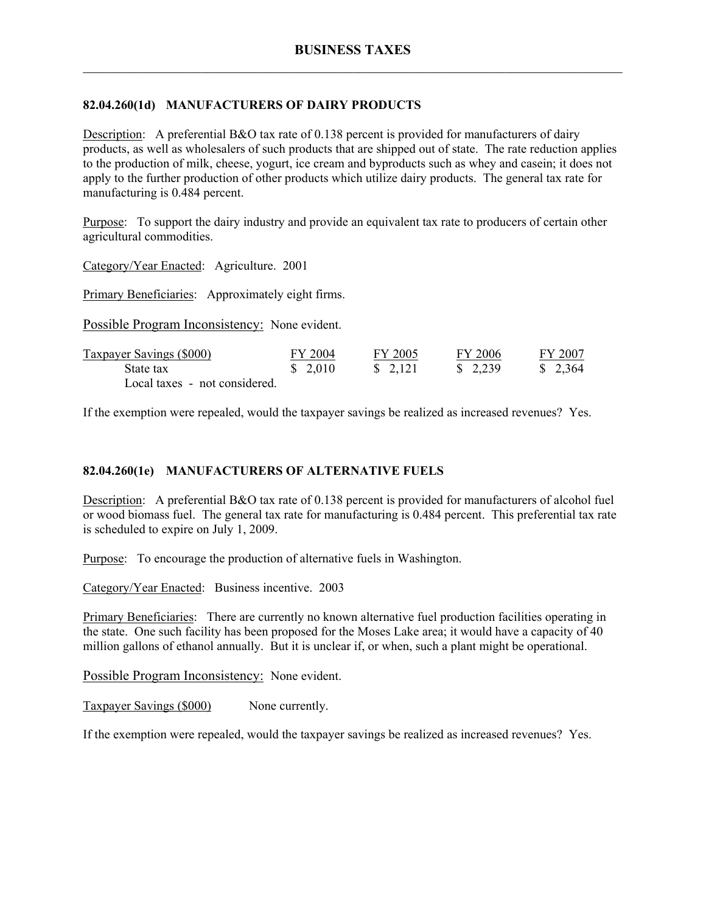# **82.04.260(1d) MANUFACTURERS OF DAIRY PRODUCTS**

Description: A preferential B&O tax rate of 0.138 percent is provided for manufacturers of dairy products, as well as wholesalers of such products that are shipped out of state. The rate reduction applies to the production of milk, cheese, yogurt, ice cream and byproducts such as whey and casein; it does not apply to the further production of other products which utilize dairy products. The general tax rate for manufacturing is 0.484 percent.

Purpose: To support the dairy industry and provide an equivalent tax rate to producers of certain other agricultural commodities.

Category/Year Enacted: Agriculture. 2001

Primary Beneficiaries: Approximately eight firms.

Possible Program Inconsistency: None evident.

| Taxpayer Savings (\$000)      | FY 2004  | FY 2005  | FY 2006  | FY 2007  |
|-------------------------------|----------|----------|----------|----------|
| State tax                     | \$ 2,010 | \$ 2.121 | \$ 2,239 | \$ 2,364 |
| Local taxes - not considered. |          |          |          |          |

If the exemption were repealed, would the taxpayer savings be realized as increased revenues? Yes.

# **82.04.260(1e) MANUFACTURERS OF ALTERNATIVE FUELS**

Description: A preferential B&O tax rate of 0.138 percent is provided for manufacturers of alcohol fuel or wood biomass fuel. The general tax rate for manufacturing is 0.484 percent. This preferential tax rate is scheduled to expire on July 1, 2009.

Purpose: To encourage the production of alternative fuels in Washington.

Category/Year Enacted: Business incentive. 2003

Primary Beneficiaries: There are currently no known alternative fuel production facilities operating in the state. One such facility has been proposed for the Moses Lake area; it would have a capacity of 40 million gallons of ethanol annually. But it is unclear if, or when, such a plant might be operational.

Possible Program Inconsistency: None evident.

Taxpayer Savings (\$000) None currently.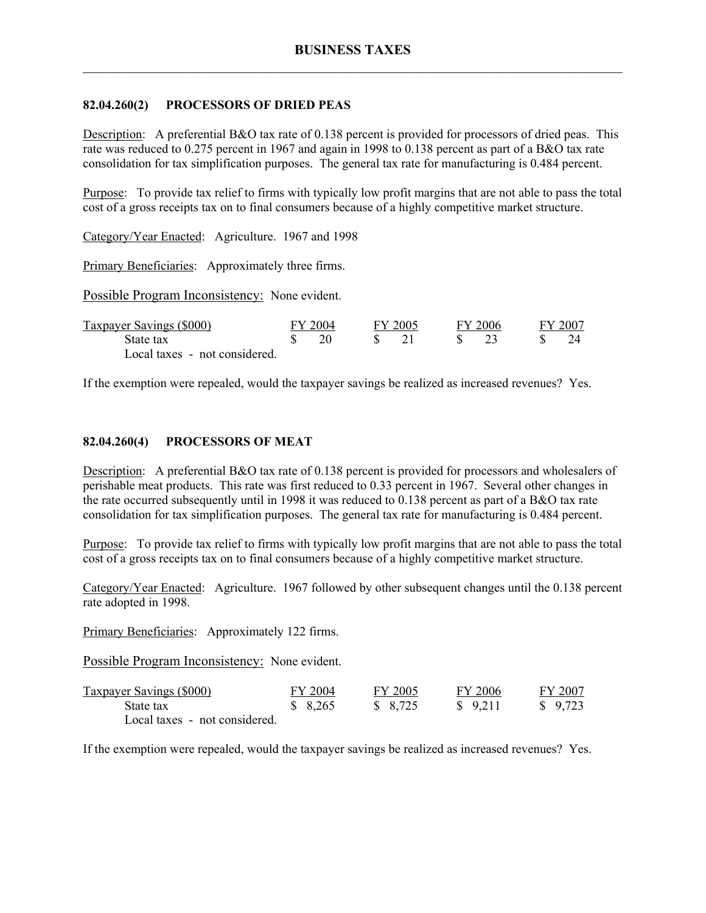## **82.04.260(2) PROCESSORS OF DRIED PEAS**

Description: A preferential B&O tax rate of 0.138 percent is provided for processors of dried peas. This rate was reduced to 0.275 percent in 1967 and again in 1998 to 0.138 percent as part of a B&O tax rate consolidation for tax simplification purposes. The general tax rate for manufacturing is 0.484 percent.

Purpose: To provide tax relief to firms with typically low profit margins that are not able to pass the total cost of a gross receipts tax on to final consumers because of a highly competitive market structure.

Category/Year Enacted: Agriculture. 1967 and 1998

Primary Beneficiaries: Approximately three firms.

Possible Program Inconsistency: None evident.

| Taxpayer Savings (\$000)      | FY 2004 | FY 2005 | FY 2006 | FY 2007 |
|-------------------------------|---------|---------|---------|---------|
| State tax                     |         |         |         |         |
| Local taxes - not considered. |         |         |         |         |

If the exemption were repealed, would the taxpayer savings be realized as increased revenues? Yes.

## **82.04.260(4) PROCESSORS OF MEAT**

Description: A preferential B&O tax rate of 0.138 percent is provided for processors and wholesalers of perishable meat products. This rate was first reduced to 0.33 percent in 1967. Several other changes in the rate occurred subsequently until in 1998 it was reduced to 0.138 percent as part of a B&O tax rate consolidation for tax simplification purposes. The general tax rate for manufacturing is 0.484 percent.

Purpose: To provide tax relief to firms with typically low profit margins that are not able to pass the total cost of a gross receipts tax on to final consumers because of a highly competitive market structure.

Category/Year Enacted: Agriculture. 1967 followed by other subsequent changes until the 0.138 percent rate adopted in 1998.

Primary Beneficiaries: Approximately 122 firms.

Possible Program Inconsistency: None evident.

| <b>Taxpayer Savings (\$000)</b> | FY 2004 | FY 2005 | FY 2006 | FY 2007  |
|---------------------------------|---------|---------|---------|----------|
| State tax                       | \$8,265 | \$8,725 | \$9.211 | \$ 9.723 |
| Local taxes - not considered.   |         |         |         |          |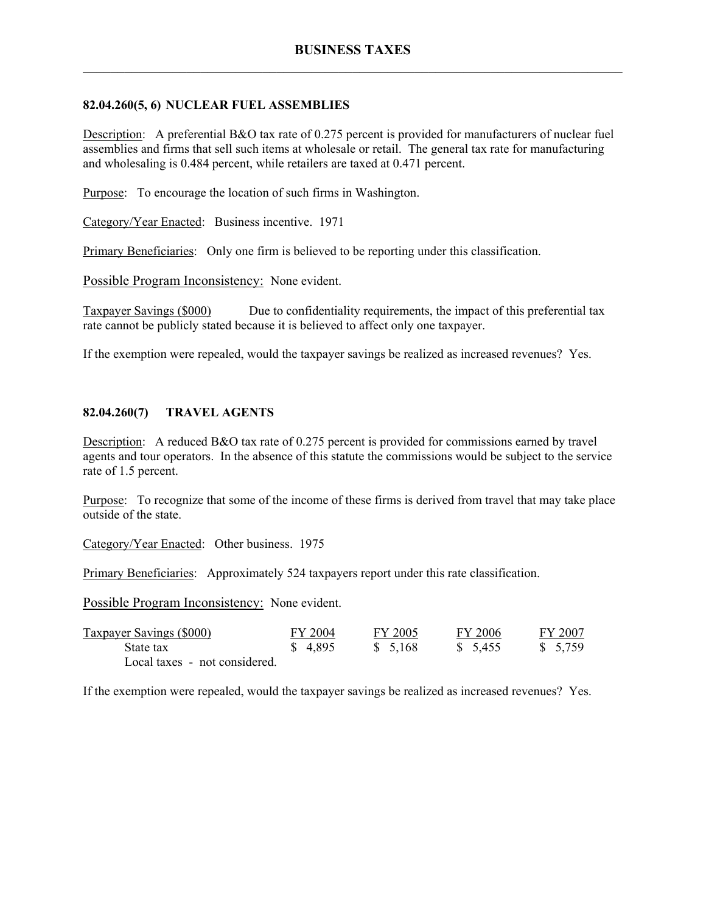## **82.04.260(5, 6) NUCLEAR FUEL ASSEMBLIES**

Description: A preferential B&O tax rate of 0.275 percent is provided for manufacturers of nuclear fuel assemblies and firms that sell such items at wholesale or retail. The general tax rate for manufacturing and wholesaling is 0.484 percent, while retailers are taxed at 0.471 percent.

Purpose: To encourage the location of such firms in Washington.

Category/Year Enacted: Business incentive. 1971

Primary Beneficiaries: Only one firm is believed to be reporting under this classification.

Possible Program Inconsistency: None evident.

Taxpayer Savings (\$000) Due to confidentiality requirements, the impact of this preferential tax rate cannot be publicly stated because it is believed to affect only one taxpayer.

If the exemption were repealed, would the taxpayer savings be realized as increased revenues? Yes.

# **82.04.260(7) TRAVEL AGENTS**

Description: A reduced B&O tax rate of 0.275 percent is provided for commissions earned by travel agents and tour operators. In the absence of this statute the commissions would be subject to the service rate of 1.5 percent.

Purpose: To recognize that some of the income of these firms is derived from travel that may take place outside of the state.

Category/Year Enacted: Other business. 1975

Primary Beneficiaries: Approximately 524 taxpayers report under this rate classification.

Possible Program Inconsistency: None evident.

| <b>Taxpayer Savings (\$000)</b> | FY 2004 | FY 2005  | FY 2006  | FY 2007 |
|---------------------------------|---------|----------|----------|---------|
| State tax                       | \$4.895 | \$ 5.168 | \$ 5,455 | \$5,759 |
| Local taxes - not considered.   |         |          |          |         |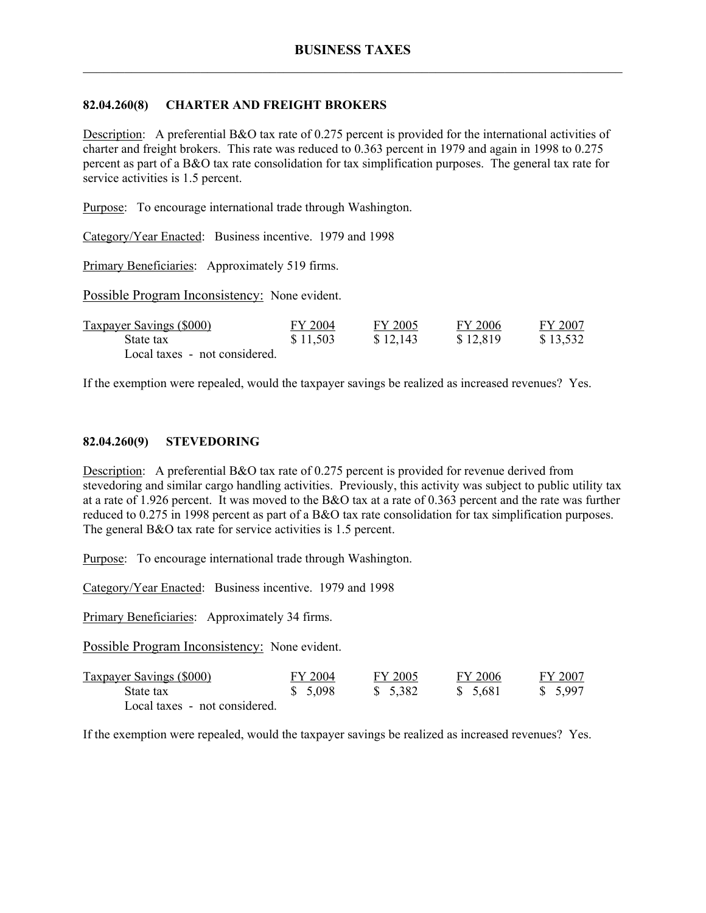## **82.04.260(8) CHARTER AND FREIGHT BROKERS**

Description: A preferential B&O tax rate of 0.275 percent is provided for the international activities of charter and freight brokers. This rate was reduced to 0.363 percent in 1979 and again in 1998 to 0.275 percent as part of a B&O tax rate consolidation for tax simplification purposes. The general tax rate for service activities is 1.5 percent.

Purpose: To encourage international trade through Washington.

Category/Year Enacted: Business incentive. 1979 and 1998

Primary Beneficiaries: Approximately 519 firms.

Possible Program Inconsistency: None evident.

| <b>Taxpayer Savings (\$000)</b> | FY 2004  | FY 2005  | FY 2006  | FY 2007  |
|---------------------------------|----------|----------|----------|----------|
| State tax                       | \$11,503 | \$12,143 | \$12,819 | \$13,532 |
| Local taxes - not considered.   |          |          |          |          |

If the exemption were repealed, would the taxpayer savings be realized as increased revenues? Yes.

#### **82.04.260(9) STEVEDORING**

Description: A preferential B&O tax rate of 0.275 percent is provided for revenue derived from stevedoring and similar cargo handling activities. Previously, this activity was subject to public utility tax at a rate of 1.926 percent. It was moved to the B&O tax at a rate of 0.363 percent and the rate was further reduced to 0.275 in 1998 percent as part of a B&O tax rate consolidation for tax simplification purposes. The general B&O tax rate for service activities is 1.5 percent.

Purpose: To encourage international trade through Washington.

Category/Year Enacted: Business incentive. 1979 and 1998

Primary Beneficiaries: Approximately 34 firms.

Possible Program Inconsistency: None evident.

| <b>Taxpayer Savings (\$000)</b> | FY 2004 | FY 2005  | FY 2006  | FY 2007  |
|---------------------------------|---------|----------|----------|----------|
| State tax                       | \$5,098 | \$ 5.382 | \$ 5.681 | \$ 5.997 |
| Local taxes - not considered.   |         |          |          |          |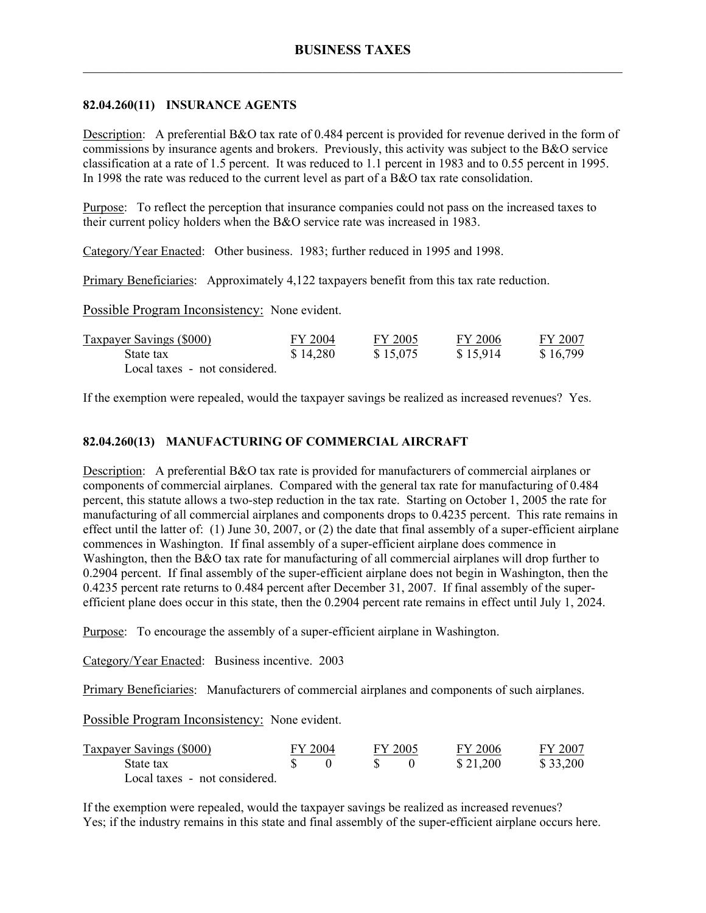### **82.04.260(11) INSURANCE AGENTS**

Description: A preferential B&O tax rate of 0.484 percent is provided for revenue derived in the form of commissions by insurance agents and brokers. Previously, this activity was subject to the B&O service classification at a rate of 1.5 percent. It was reduced to 1.1 percent in 1983 and to 0.55 percent in 1995. In 1998 the rate was reduced to the current level as part of a B&O tax rate consolidation.

Purpose: To reflect the perception that insurance companies could not pass on the increased taxes to their current policy holders when the B&O service rate was increased in 1983.

Category/Year Enacted: Other business. 1983; further reduced in 1995 and 1998.

Primary Beneficiaries: Approximately 4,122 taxpayers benefit from this tax rate reduction.

Possible Program Inconsistency: None evident.

| <b>Taxpayer Savings (\$000)</b> | FY 2004  | FY 2005  | FY 2006  | FY 2007  |
|---------------------------------|----------|----------|----------|----------|
| State tax                       | \$14,280 | \$15,075 | \$15.914 | \$16,799 |
| Local taxes - not considered.   |          |          |          |          |

If the exemption were repealed, would the taxpayer savings be realized as increased revenues? Yes.

## **82.04.260(13) MANUFACTURING OF COMMERCIAL AIRCRAFT**

Description: A preferential B&O tax rate is provided for manufacturers of commercial airplanes or components of commercial airplanes. Compared with the general tax rate for manufacturing of 0.484 percent, this statute allows a two-step reduction in the tax rate. Starting on October 1, 2005 the rate for manufacturing of all commercial airplanes and components drops to 0.4235 percent. This rate remains in effect until the latter of: (1) June 30, 2007, or (2) the date that final assembly of a super-efficient airplane commences in Washington. If final assembly of a super-efficient airplane does commence in Washington, then the B&O tax rate for manufacturing of all commercial airplanes will drop further to 0.2904 percent. If final assembly of the super-efficient airplane does not begin in Washington, then the 0.4235 percent rate returns to 0.484 percent after December 31, 2007. If final assembly of the superefficient plane does occur in this state, then the 0.2904 percent rate remains in effect until July 1, 2024.

Purpose: To encourage the assembly of a super-efficient airplane in Washington.

Category/Year Enacted: Business incentive. 2003

Primary Beneficiaries: Manufacturers of commercial airplanes and components of such airplanes.

Possible Program Inconsistency: None evident.

| Taxpayer Savings (\$000)      | FY 2004 | FY 2005 | FY 2006  | FY 2007  |
|-------------------------------|---------|---------|----------|----------|
| State tax                     |         |         | \$21,200 | \$33,200 |
| Local taxes - not considered. |         |         |          |          |

If the exemption were repealed, would the taxpayer savings be realized as increased revenues? Yes; if the industry remains in this state and final assembly of the super-efficient airplane occurs here.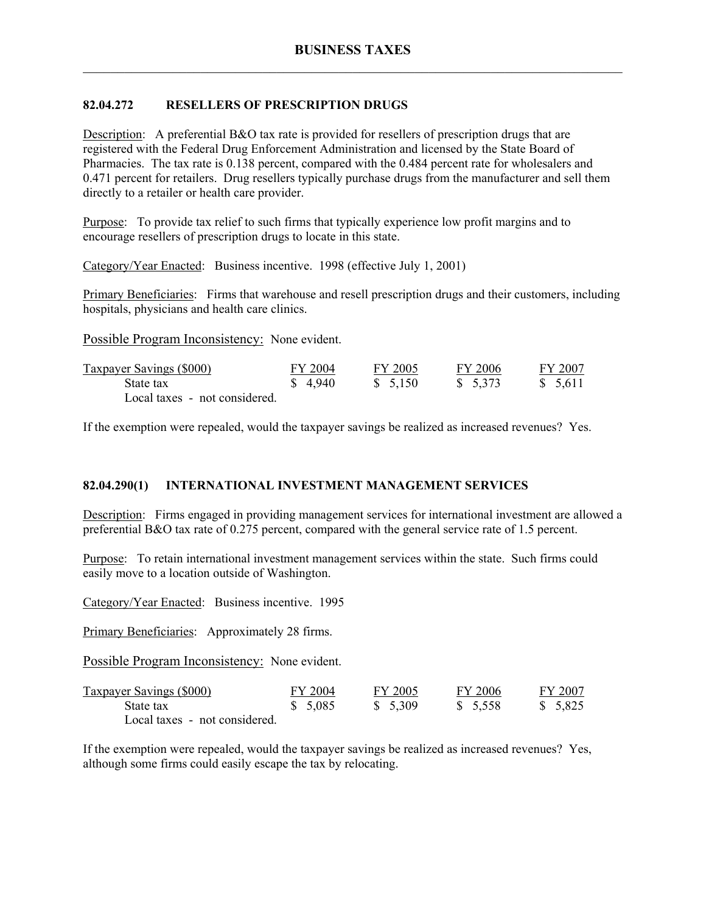# **82.04.272 RESELLERS OF PRESCRIPTION DRUGS**

Description: A preferential B&O tax rate is provided for resellers of prescription drugs that are registered with the Federal Drug Enforcement Administration and licensed by the State Board of Pharmacies. The tax rate is 0.138 percent, compared with the 0.484 percent rate for wholesalers and 0.471 percent for retailers. Drug resellers typically purchase drugs from the manufacturer and sell them directly to a retailer or health care provider.

Purpose: To provide tax relief to such firms that typically experience low profit margins and to encourage resellers of prescription drugs to locate in this state.

Category/Year Enacted: Business incentive. 1998 (effective July 1, 2001)

Primary Beneficiaries: Firms that warehouse and resell prescription drugs and their customers, including hospitals, physicians and health care clinics.

Possible Program Inconsistency: None evident.

| <b>Taxpayer Savings (\$000)</b> | FY 2004 | FY 2005  | FY 2006  | FY 2007  |
|---------------------------------|---------|----------|----------|----------|
| State tax                       | \$4.940 | \$ 5.150 | \$ 5,373 | \$ 5.611 |
| Local taxes - not considered.   |         |          |          |          |

If the exemption were repealed, would the taxpayer savings be realized as increased revenues? Yes.

# **82.04.290(1) INTERNATIONAL INVESTMENT MANAGEMENT SERVICES**

Description: Firms engaged in providing management services for international investment are allowed a preferential B&O tax rate of 0.275 percent, compared with the general service rate of 1.5 percent.

Purpose: To retain international investment management services within the state. Such firms could easily move to a location outside of Washington.

Category/Year Enacted: Business incentive. 1995

Primary Beneficiaries: Approximately 28 firms.

Possible Program Inconsistency: None evident.

| <b>Taxpayer Savings (\$000)</b> | FY 2004  | FY 2005 | FY 2006 | FY 2007  |
|---------------------------------|----------|---------|---------|----------|
| State tax                       | \$ 5.085 | \$5,309 | \$5,558 | \$ 5.825 |
| Local taxes - not considered.   |          |         |         |          |

If the exemption were repealed, would the taxpayer savings be realized as increased revenues? Yes, although some firms could easily escape the tax by relocating.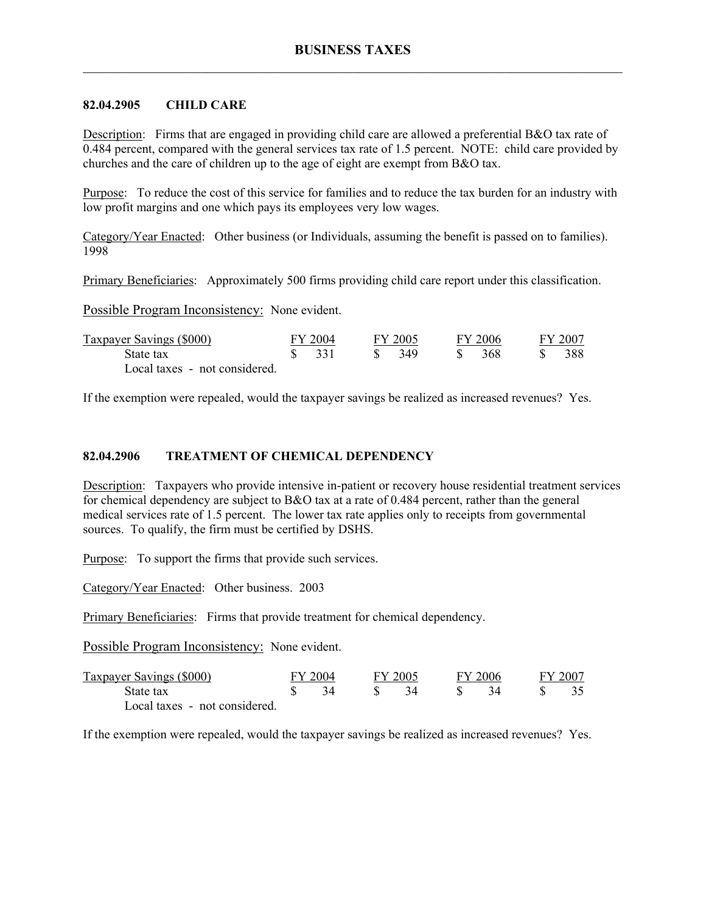#### **82.04.2905 CHILD CARE**

Description: Firms that are engaged in providing child care are allowed a preferential B&O tax rate of 0.484 percent, compared with the general services tax rate of 1.5 percent. NOTE: child care provided by churches and the care of children up to the age of eight are exempt from B&O tax.

Purpose: To reduce the cost of this service for families and to reduce the tax burden for an industry with low profit margins and one which pays its employees very low wages.

Category/Year Enacted: Other business (or Individuals, assuming the benefit is passed on to families). 1998

Primary Beneficiaries: Approximately 500 firms providing child care report under this classification.

Possible Program Inconsistency: None evident.

| <b>Taxpayer Savings (\$000)</b> | FY 2004 | FY 2005 |   | FY 2006 | FY 2007 |
|---------------------------------|---------|---------|---|---------|---------|
| State tax                       | - 331   | -349    | S | -368    | 388     |
| Local taxes - not considered.   |         |         |   |         |         |

If the exemption were repealed, would the taxpayer savings be realized as increased revenues? Yes.

#### **82.04.2906 TREATMENT OF CHEMICAL DEPENDENCY**

Description: Taxpayers who provide intensive in-patient or recovery house residential treatment services for chemical dependency are subject to B&O tax at a rate of 0.484 percent, rather than the general medical services rate of 1.5 percent. The lower tax rate applies only to receipts from governmental sources. To qualify, the firm must be certified by DSHS.

Purpose: To support the firms that provide such services.

Category/Year Enacted: Other business. 2003

Primary Beneficiaries: Firms that provide treatment for chemical dependency.

Possible Program Inconsistency: None evident.

| <b>Taxpayer Savings (\$000)</b> | FY 2004 |     | FY 2005 |  | FY 2006 |  | FY 2007 |  |
|---------------------------------|---------|-----|---------|--|---------|--|---------|--|
| State tax                       |         | 34. |         |  |         |  |         |  |
| Local taxes - not considered.   |         |     |         |  |         |  |         |  |